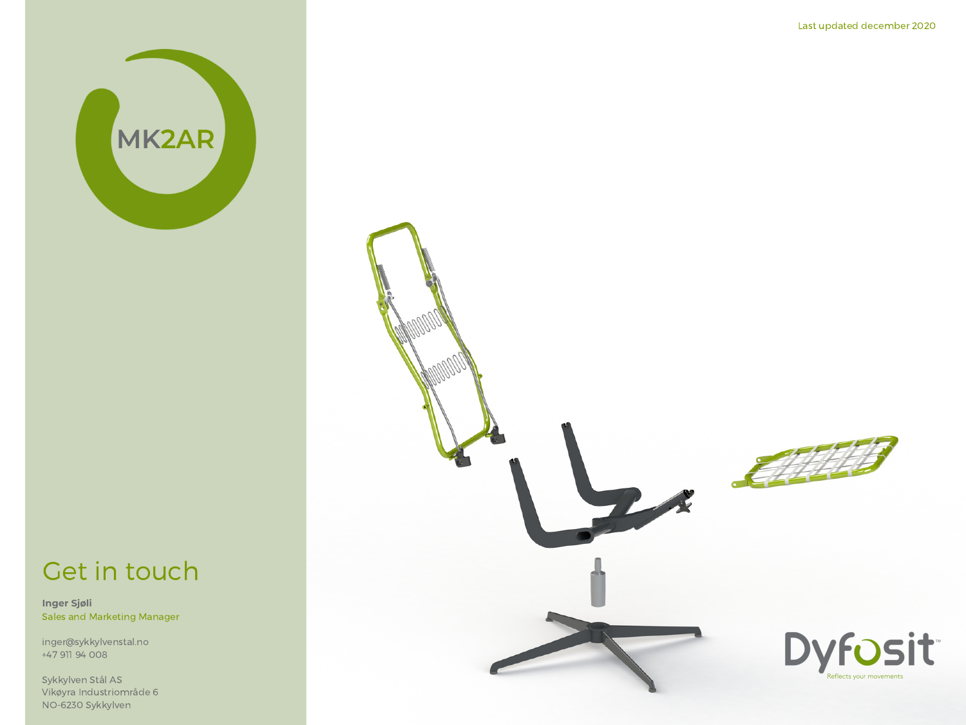

#### Last updated december 2020

### Get in touch

**Inger Sjøli** Sales and Marketing Manager

inger@sykkylvenstal.no +47 911 94 008

Sykkylven Stål AS Vikøyra Industriområde 6 NO-6230 Sykkylven

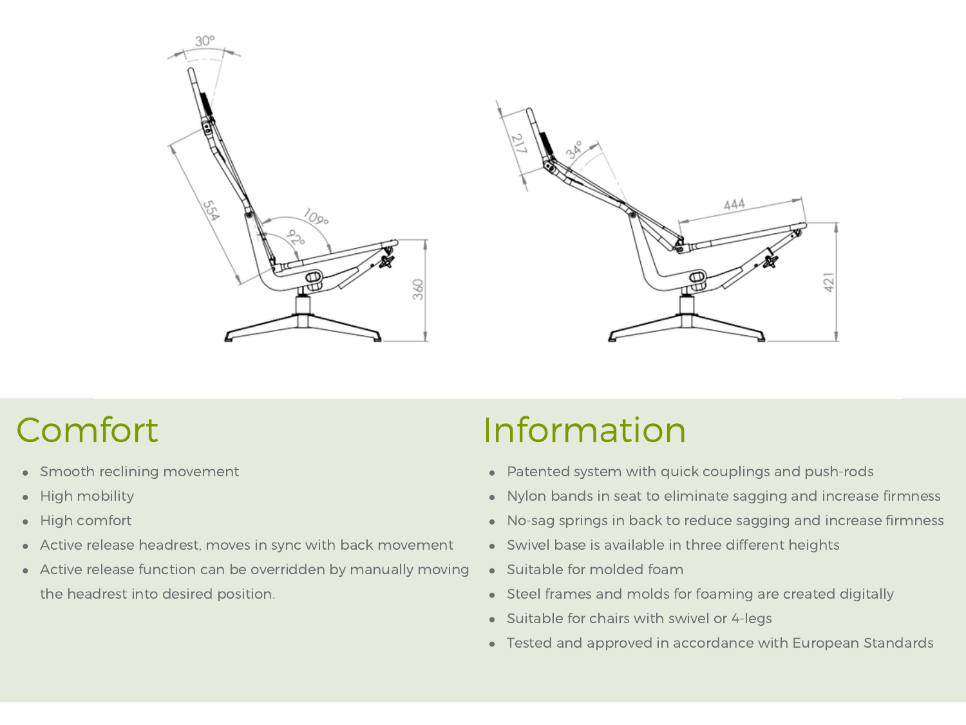



## Comfort

- Smooth reclining movement
- High mobility  $\bullet$
- High comfort  $\bullet$
- Active release headrest, moves in sync with back movement
- Active release function can be overridden by manually moving the headrest into desired position.

# Information

- Patented system with quick couplings and push-rods
- Nylon bands in seat to eliminate sagging and increase firmness
- No-sag springs in back to reduce sagging and increase firmness
- Swivel base is available in three different heights
- Suitable for molded foam
- Steel frames and molds for foaming are created digitally
- Suitable for chairs with swivel or 4-legs
- Tested and approved in accordance with European Standards